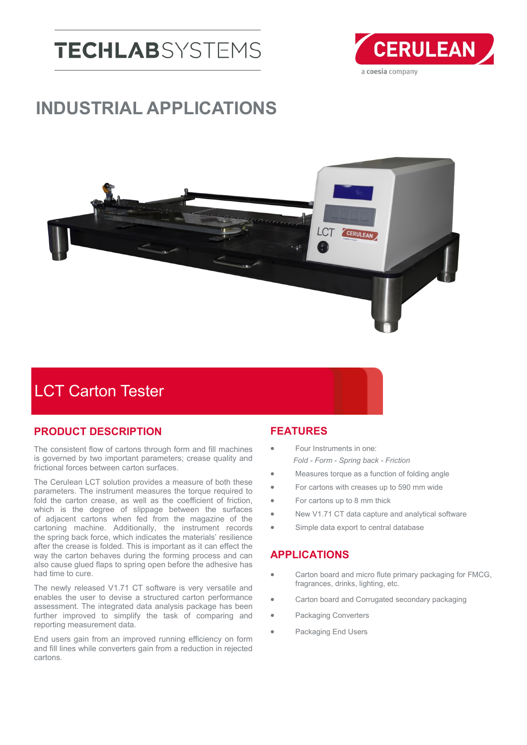# **TECHLAB**SYSTEMS



## **INDUSTRIAL APPLICATIONS**



### LCT Carton Tester

#### **PRODUCT DESCRIPTION**

The consistent flow of cartons through form and fill machines is governed by two important parameters; crease quality and frictional forces between carton surfaces.

The Cerulean LCT solution provides a measure of both these parameters. The instrument measures the torque required to fold the carton crease, as well as the coefficient of friction, which is the degree of slippage between the surfaces of adjacent cartons when fed from the magazine of the cartoning machine. Additionally, the instrument records the spring back force, which indicates the materials' resilience after the crease is folded. This is important as it can effect the way the carton behaves during the forming process and can also cause glued flaps to spring open before the adhesive has had time to cure.

The newly released V1.71 CT software is very versatile and enables the user to devise a structured carton performance assessment. The integrated data analysis package has been further improved to simplify the task of comparing and reporting measurement data.

End users gain from an improved running efficiency on form and fill lines while converters gain from a reduction in rejected cartons.

#### **FEATURES**

- Four Instruments in one: *Fold - Form - Spring back - Friction*
- Measures torque as a function of folding angle
- For cartons with creases up to 590 mm wide
- For cartons up to 8 mm thick
- New V1.71 CT data capture and analytical software
- Simple data export to central database

#### **APPLICATIONS**

- **•** Carton board and micro flute primary packaging for FMCG, fragrances, drinks, lighting, etc.
- Carton board and Corrugated secondary packaging
- Packaging Converters
- Packaging End Users